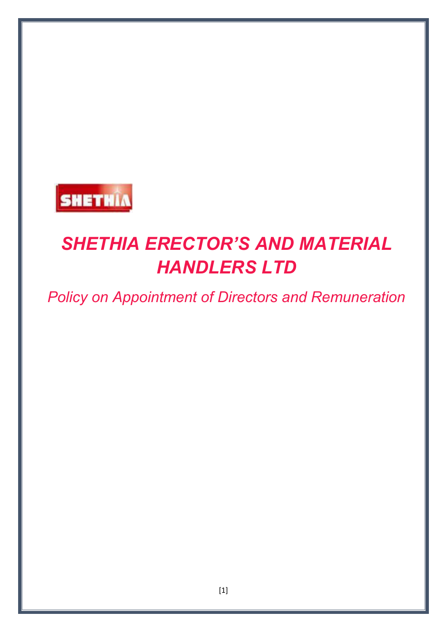

# *SHETHIA ERECTOR'S AND MATERIAL HANDLERS LTD*

*Policy on Appointment of Directors and Remuneration*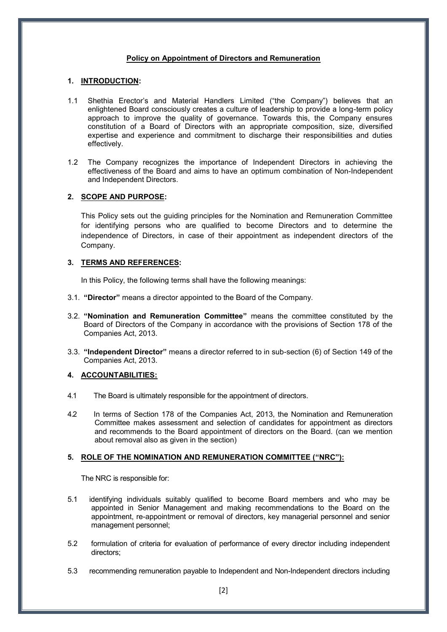# **Policy on Appointment of Directors and Remuneration**

## **1. INTRODUCTION:**

- 1.1 Shethia Erector's and Material Handlers Limited ("the Company") believes that an enlightened Board consciously creates a culture of leadership to provide a long-term policy approach to improve the quality of governance. Towards this, the Company ensures constitution of a Board of Directors with an appropriate composition, size, diversified expertise and experience and commitment to discharge their responsibilities and duties effectively.
- 1.2 The Company recognizes the importance of Independent Directors in achieving the effectiveness of the Board and aims to have an optimum combination of Non-Independent and Independent Directors.

# **2. SCOPE AND PURPOSE:**

This Policy sets out the guiding principles for the Nomination and Remuneration Committee for identifying persons who are qualified to become Directors and to determine the independence of Directors, in case of their appointment as independent directors of the Company.

# **3. TERMS AND REFERENCES:**

In this Policy, the following terms shall have the following meanings:

- 3.1. **"Director"** means a director appointed to the Board of the Company.
- 3.2. **"Nomination and Remuneration Committee"** means the committee constituted by the Board of Directors of the Company in accordance with the provisions of Section 178 of the Companies Act, 2013.
- 3.3. **"Independent Director"** means a director referred to in sub-section (6) of Section 149 of the Companies Act, 2013.

## **4. ACCOUNTABILITIES:**

- 4.1 The Board is ultimately responsible for the appointment of directors.
- 4.2 In terms of Section 178 of the Companies Act, 2013, the Nomination and Remuneration Committee makes assessment and selection of candidates for appointment as directors and recommends to the Board appointment of directors on the Board. (can we mention about removal also as given in the section)

# **5. ROLE OF THE NOMINATION AND REMUNERATION COMMITTEE ("NRC"):**

The NRC is responsible for:

- 5.1 identifying individuals suitably qualified to become Board members and who may be appointed in Senior Management and making recommendations to the Board on the appointment, re-appointment or removal of directors, key managerial personnel and senior management personnel;
- 5.2 formulation of criteria for evaluation of performance of every director including independent directors;
- 5.3 recommending remuneration payable to Independent and Non-Independent directors including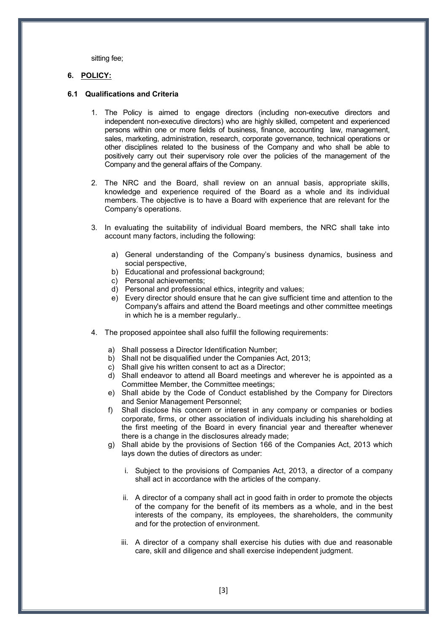sitting fee;

#### **6. POLICY:**

# **6.1 Qualifications and Criteria**

- 1. The Policy is aimed to engage directors (including non-executive directors and independent non-executive directors) who are highly skilled, competent and experienced persons within one or more fields of business, finance, accounting law, management, sales, marketing, administration, research, corporate governance, technical operations or other disciplines related to the business of the Company and who shall be able to positively carry out their supervisory role over the policies of the management of the Company and the general affairs of the Company.
- 2. The NRC and the Board, shall review on an annual basis, appropriate skills, knowledge and experience required of the Board as a whole and its individual members. The objective is to have a Board with experience that are relevant for the Company's operations.
- 3. In evaluating the suitability of individual Board members, the NRC shall take into account many factors, including the following:
	- a) General understanding of the Company's business dynamics, business and social perspective,
	- b) Educational and professional background;
	- c) Personal achievements;
	- d) Personal and professional ethics, integrity and values;
	- e) Every director should ensure that he can give sufficient time and attention to the Company's affairs and attend the Board meetings and other committee meetings in which he is a member regularly..
- 4. The proposed appointee shall also fulfill the following requirements:
	- a) Shall possess a Director Identification Number;
	- b) Shall not be disqualified under the Companies Act, 2013;
	- c) Shall give his written consent to act as a Director;
	- d) Shall endeavor to attend all Board meetings and wherever he is appointed as a Committee Member, the Committee meetings;
	- e) Shall abide by the Code of Conduct established by the Company for Directors and Senior Management Personnel;
	- f) Shall disclose his concern or interest in any company or companies or bodies corporate, firms, or other association of individuals including his shareholding at the first meeting of the Board in every financial year and thereafter whenever there is a change in the disclosures already made;
	- g) Shall abide by the provisions of Section 166 of the Companies Act, 2013 which lays down the duties of directors as under:
		- i. Subject to the provisions of Companies Act, 2013, a director of a company shall act in accordance with the articles of the company.
		- ii. A director of a company shall act in good faith in order to promote the objects of the company for the benefit of its members as a whole, and in the best interests of the company, its employees, the shareholders, the community and for the protection of environment.
		- iii. A director of a company shall exercise his duties with due and reasonable care, skill and diligence and shall exercise independent judgment.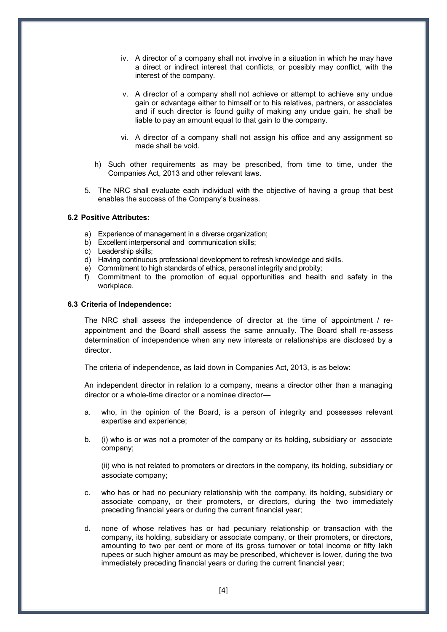- iv. A director of a company shall not involve in a situation in which he may have a direct or indirect interest that conflicts, or possibly may conflict, with the interest of the company.
- v. A director of a company shall not achieve or attempt to achieve any undue gain or advantage either to himself or to his relatives, partners, or associates and if such director is found guilty of making any undue gain, he shall be liable to pay an amount equal to that gain to the company.
- vi. A director of a company shall not assign his office and any assignment so made shall be void.
- h) Such other requirements as may be prescribed, from time to time, under the Companies Act, 2013 and other relevant laws.
- 5. The NRC shall evaluate each individual with the objective of having a group that best enables the success of the Company's business.

## **6.2 Positive Attributes:**

- a) Experience of management in a diverse organization;
- b) Excellent interpersonal and communication skills;
- c) Leadership skills;
- d) Having continuous professional development to refresh knowledge and skills.
- e) Commitment to high standards of ethics, personal integrity and probity;
- f) Commitment to the promotion of equal opportunities and health and safety in the workplace.

## **6.3 Criteria of Independence:**

The NRC shall assess the independence of director at the time of appointment / reappointment and the Board shall assess the same annually. The Board shall re-assess determination of independence when any new interests or relationships are disclosed by a director.

The criteria of independence, as laid down in Companies Act, 2013, is as below:

An independent director in relation to a company, means a director other than a managing director or a whole-time director or a nominee director—

- a. who, in the opinion of the Board, is a person of integrity and possesses relevant expertise and experience;
- b. (i) who is or was not a promoter of the company or its holding, subsidiary or associate company;

(ii) who is not related to promoters or directors in the company, its holding, subsidiary or associate company;

- c. who has or had no pecuniary relationship with the company, its holding, subsidiary or associate company, or their promoters, or directors, during the two immediately preceding financial years or during the current financial year;
- d. none of whose relatives has or had pecuniary relationship or transaction with the company, its holding, subsidiary or associate company, or their promoters, or directors, amounting to two per cent or more of its gross turnover or total income or fifty lakh rupees or such higher amount as may be prescribed, whichever is lower, during the two immediately preceding financial years or during the current financial year;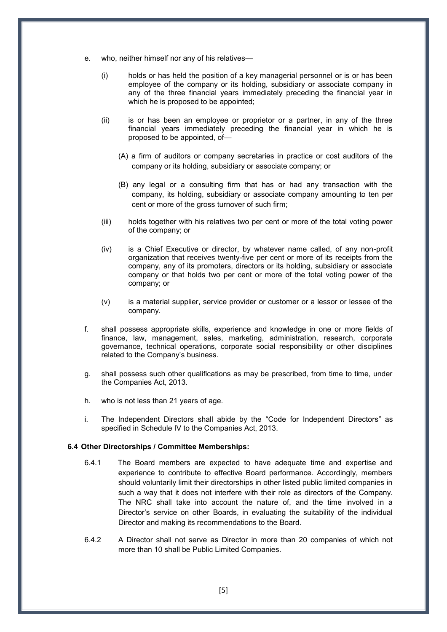- e. who, neither himself nor any of his relatives—
	- (i) holds or has held the position of a key managerial personnel or is or has been employee of the company or its holding, subsidiary or associate company in any of the three financial years immediately preceding the financial year in which he is proposed to be appointed;
	- (ii) is or has been an employee or proprietor or a partner, in any of the three financial years immediately preceding the financial year in which he is proposed to be appointed, of—
		- (A) a firm of auditors or company secretaries in practice or cost auditors of the company or its holding, subsidiary or associate company; or
		- (B) any legal or a consulting firm that has or had any transaction with the company, its holding, subsidiary or associate company amounting to ten per cent or more of the gross turnover of such firm;
	- (iii) holds together with his relatives two per cent or more of the total voting power of the company; or
	- (iv) is a Chief Executive or director, by whatever name called, of any non-profit organization that receives twenty-five per cent or more of its receipts from the company, any of its promoters, directors or its holding, subsidiary or associate company or that holds two per cent or more of the total voting power of the company; or
	- (v) is a material supplier, service provider or customer or a lessor or lessee of the company.
- f. shall possess appropriate skills, experience and knowledge in one or more fields of finance, law, management, sales, marketing, administration, research, corporate governance, technical operations, corporate social responsibility or other disciplines related to the Company's business.
- g. shall possess such other qualifications as may be prescribed, from time to time, under the Companies Act, 2013.
- h. who is not less than 21 years of age.
- i. The Independent Directors shall abide by the "Code for Independent Directors" as specified in Schedule IV to the Companies Act, 2013.

## **6.4 Other Directorships / Committee Memberships:**

- 6.4.1 The Board members are expected to have adequate time and expertise and experience to contribute to effective Board performance. Accordingly, members should voluntarily limit their directorships in other listed public limited companies in such a way that it does not interfere with their role as directors of the Company. The NRC shall take into account the nature of, and the time involved in a Director's service on other Boards, in evaluating the suitability of the individual Director and making its recommendations to the Board.
- 6.4.2 A Director shall not serve as Director in more than 20 companies of which not more than 10 shall be Public Limited Companies.